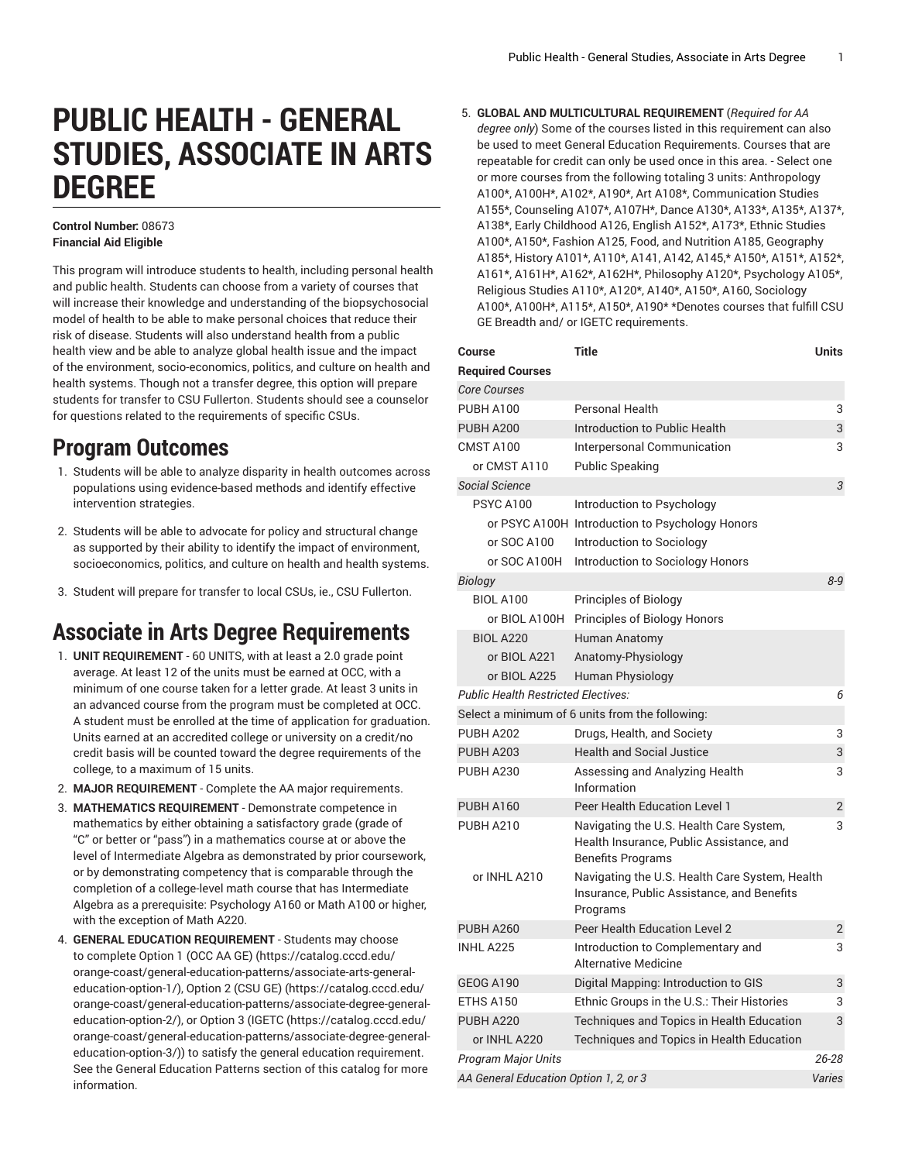# **PUBLIC HEALTH - GENERAL STUDIES, ASSOCIATE IN ARTS DEGREE**

#### **Control Number:** 08673 **Financial Aid Eligible**

This program will introduce students to health, including personal health and public health. Students can choose from a variety of courses that will increase their knowledge and understanding of the biopsychosocial model of health to be able to make personal choices that reduce their risk of disease. Students will also understand health from a public health view and be able to analyze global health issue and the impact of the environment, socio-economics, politics, and culture on health and health systems. Though not a transfer degree, this option will prepare students for transfer to CSU Fullerton. Students should see a counselor for questions related to the requirements of specific CSUs.

#### **Program Outcomes**

- 1. Students will be able to analyze disparity in health outcomes across populations using evidence-based methods and identify effective intervention strategies.
- 2. Students will be able to advocate for policy and structural change as supported by their ability to identify the impact of environment, socioeconomics, politics, and culture on health and health systems.
- 3. Student will prepare for transfer to local CSUs, ie., CSU Fullerton.

## **Associate in Arts Degree Requirements**

- 1. **UNIT REQUIREMENT** 60 UNITS, with at least a 2.0 grade point average. At least 12 of the units must be earned at OCC, with a minimum of one course taken for a letter grade. At least 3 units in an advanced course from the program must be completed at OCC. A student must be enrolled at the time of application for graduation. Units earned at an accredited college or university on a credit/no credit basis will be counted toward the degree requirements of the college, to a maximum of 15 units.
- 2. **MAJOR REQUIREMENT** Complete the AA major requirements.
- 3. **MATHEMATICS REQUIREMENT** Demonstrate competence in mathematics by either obtaining a satisfactory grade (grade of "C" or better or "pass") in a mathematics course at or above the level of Intermediate Algebra as demonstrated by prior coursework, or by demonstrating competency that is comparable through the completion of a college-level math course that has Intermediate Algebra as a prerequisite: Psychology A160 or Math A100 or higher, with the exception of Math A220.
- 4. **GENERAL EDUCATION REQUIREMENT** Students may choose to complete [Option 1 \(OCC AA GE\)](https://catalog.cccd.edu/orange-coast/general-education-patterns/associate-arts-general-education-option-1/) [\(https://catalog.cccd.edu/](https://catalog.cccd.edu/orange-coast/general-education-patterns/associate-arts-general-education-option-1/) [orange-coast/general-education-patterns/associate-arts-general](https://catalog.cccd.edu/orange-coast/general-education-patterns/associate-arts-general-education-option-1/)[education-option-1/\)](https://catalog.cccd.edu/orange-coast/general-education-patterns/associate-arts-general-education-option-1/), [Option 2 \(CSU GE\)](https://catalog.cccd.edu/orange-coast/general-education-patterns/associate-degree-general-education-option-2/) ([https://catalog.cccd.edu/](https://catalog.cccd.edu/orange-coast/general-education-patterns/associate-degree-general-education-option-2/) [orange-coast/general-education-patterns/associate-degree-general](https://catalog.cccd.edu/orange-coast/general-education-patterns/associate-degree-general-education-option-2/)[education-option-2/\)](https://catalog.cccd.edu/orange-coast/general-education-patterns/associate-degree-general-education-option-2/), or [Option](https://catalog.cccd.edu/orange-coast/general-education-patterns/associate-degree-general-education-option-3/) 3 (IGETC [\(https://catalog.cccd.edu/](https://catalog.cccd.edu/orange-coast/general-education-patterns/associate-degree-general-education-option-3/) [orange-coast/general-education-patterns/associate-degree-general](https://catalog.cccd.edu/orange-coast/general-education-patterns/associate-degree-general-education-option-3/)[education-option-3/\)](https://catalog.cccd.edu/orange-coast/general-education-patterns/associate-degree-general-education-option-3/)) to satisfy the general education requirement. See the General Education Patterns section of this catalog for more information.

5. **GLOBAL AND MULTICULTURAL REQUIREMENT** (*Required for AA degree only*) Some of the courses listed in this requirement can also be used to meet General Education Requirements. Courses that are repeatable for credit can only be used once in this area. - Select one or more courses from the following totaling 3 units: Anthropology A100\*, A100H\*, A102\*, A190\*, Art A108\*, Communication Studies A155\*, Counseling A107\*, A107H\*, Dance A130\*, A133\*, A135\*, A137\*, A138\*, Early Childhood A126, English A152\*, A173\*, Ethnic Studies A100\*, A150\*, Fashion A125, Food, and Nutrition A185, Geography A185\*, History A101\*, A110\*, A141, A142, A145,\* A150\*, A151\*, A152\*, A161\*, A161H\*, A162\*, A162H\*, Philosophy A120\*, Psychology A105\*, Religious Studies A110\*, A120\*, A140\*, A150\*, A160, Sociology A100\*, A100H\*, A115\*, A150\*, A190\* \*Denotes courses that fulfill CSU GE Breadth and/ or IGETC requirements.

| Course                                     | <b>Title</b>                                                                                                    | <b>Units</b>   |
|--------------------------------------------|-----------------------------------------------------------------------------------------------------------------|----------------|
| <b>Required Courses</b>                    |                                                                                                                 |                |
| <b>Core Courses</b>                        |                                                                                                                 |                |
| <b>PUBH A100</b>                           | Personal Health                                                                                                 | 3              |
| <b>PUBH A200</b>                           | Introduction to Public Health                                                                                   | 3              |
| CMST A100                                  | Interpersonal Communication                                                                                     | 3              |
| or CMST A110                               | <b>Public Speaking</b>                                                                                          |                |
| Social Science                             |                                                                                                                 | 3              |
| <b>PSYC A100</b>                           | Introduction to Psychology                                                                                      |                |
|                                            | or PSYC A100H Introduction to Psychology Honors                                                                 |                |
| or SOC A100                                | Introduction to Sociology                                                                                       |                |
| or SOC A100H                               | Introduction to Sociology Honors                                                                                |                |
| Biology                                    |                                                                                                                 | $8 - 9$        |
| <b>BIOL A100</b>                           | Principles of Biology                                                                                           |                |
| or BIOL A100H                              | Principles of Biology Honors                                                                                    |                |
| <b>BIOL A220</b>                           | <b>Human Anatomy</b>                                                                                            |                |
| or BIOL A221                               | Anatomy-Physiology                                                                                              |                |
| or BIOL A225                               | Human Physiology                                                                                                |                |
| <b>Public Health Restricted Electives:</b> |                                                                                                                 | 6              |
|                                            | Select a minimum of 6 units from the following:                                                                 |                |
| <b>PUBH A202</b>                           | Drugs, Health, and Society                                                                                      | 3              |
| <b>PUBH A203</b>                           | <b>Health and Social Justice</b>                                                                                | 3              |
| <b>PUBH A230</b>                           | Assessing and Analyzing Health<br>Information                                                                   | 3              |
| <b>PUBH A160</b>                           | Peer Health Education Level 1                                                                                   | $\overline{2}$ |
| PUBH A210                                  | Navigating the U.S. Health Care System,<br>Health Insurance, Public Assistance, and<br><b>Benefits Programs</b> | 3              |
| or INHL A210                               | Navigating the U.S. Health Care System, Health<br>Insurance, Public Assistance, and Benefits<br>Programs        |                |
| <b>PUBH A260</b>                           | Peer Health Education Level 2                                                                                   | 2              |
| INHL A225                                  | Introduction to Complementary and<br><b>Alternative Medicine</b>                                                | 3              |
| <b>GEOG A190</b>                           | Digital Mapping: Introduction to GIS                                                                            | 3              |
| ETHS A150                                  | Ethnic Groups in the U.S.: Their Histories                                                                      | 3              |
| PUBH A220                                  | Techniques and Topics in Health Education                                                                       | 3              |
| or INHL A220                               | Techniques and Topics in Health Education                                                                       |                |
| <b>Program Major Units</b>                 |                                                                                                                 | $26 - 28$      |
| AA General Education Option 1, 2, or 3     |                                                                                                                 |                |